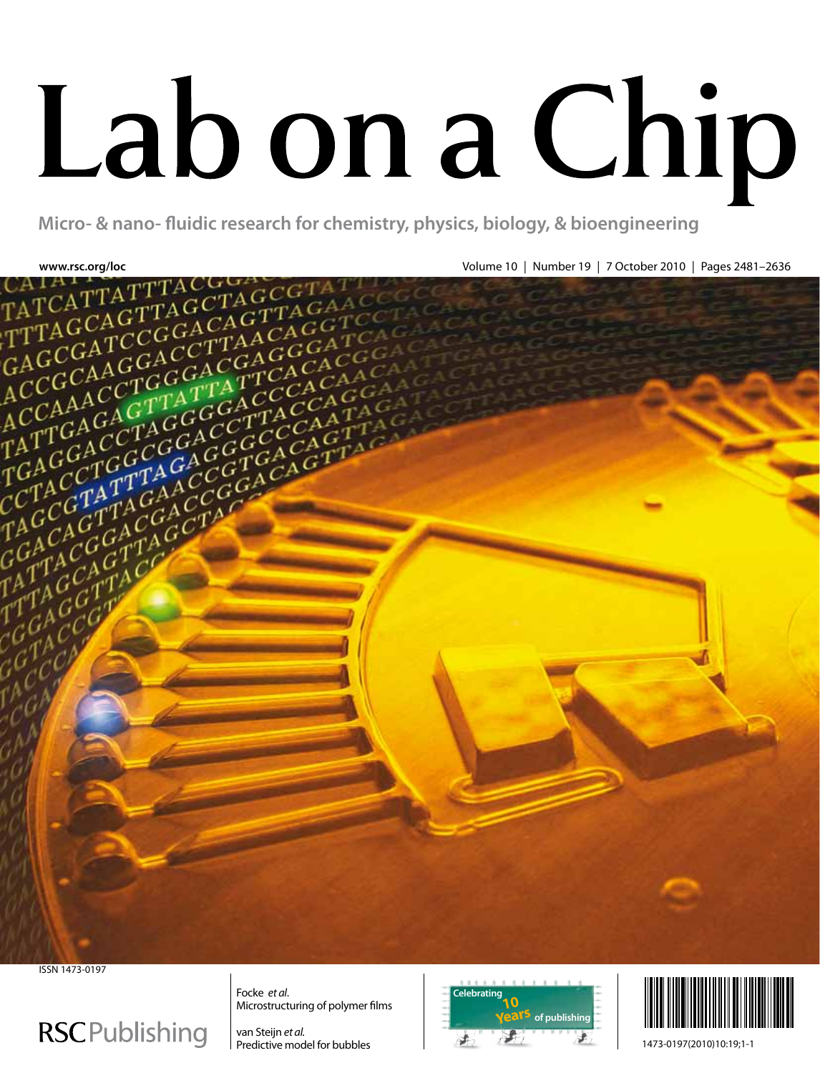# Lab on a Chip

**Micro- & nano- fluidic research for chemistry, physics, biology, & bioengineering**



ISSN 1473-0197

# **RSCPublishing**

Focke *et al*. Microstructuring of polymer films

van Steijn *et al.* Predictive model for bubbles





1473-0197(2010)10:19;1-1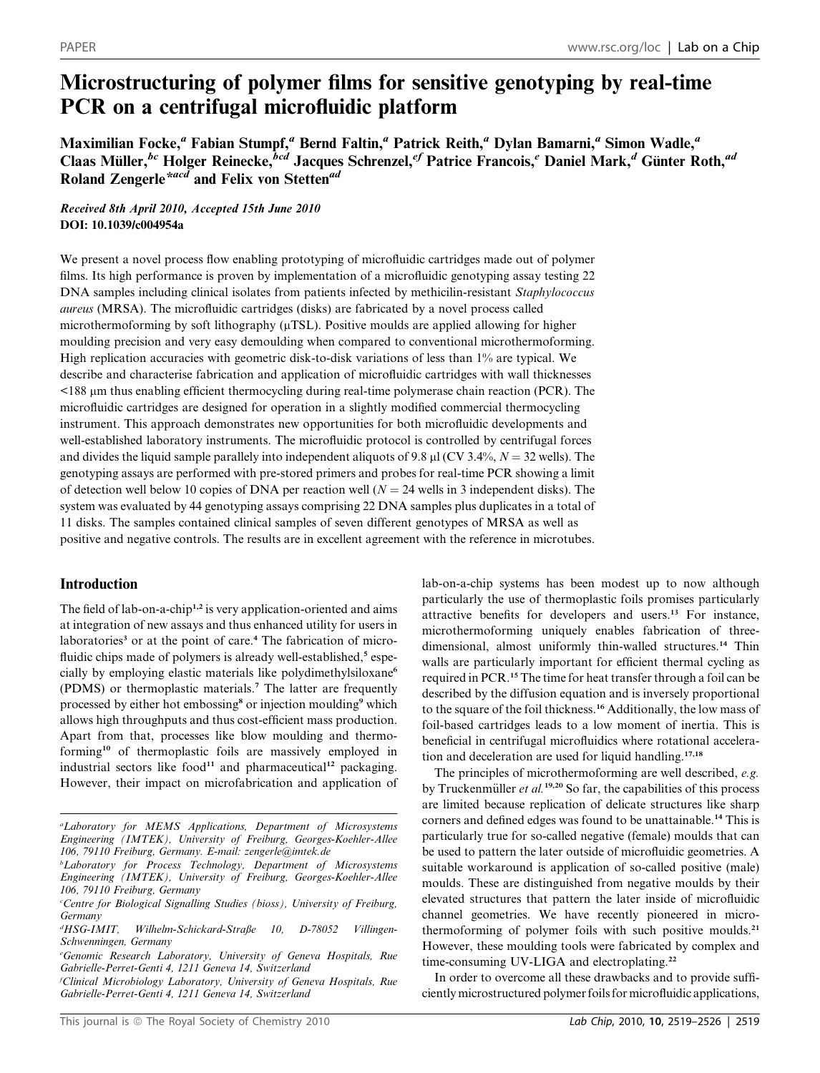## Microstructuring of polymer films for sensitive genotyping by real-time PCR on a centrifugal microfluidic platform

Maximilian Focke,<sup>a</sup> Fabian Stumpf,<sup>a</sup> Bernd Faltin,<sup>a</sup> Patrick Reith,<sup>a</sup> Dylan Bamarni,<sup>a</sup> Simon Wadle,<sup>a</sup> Claas Müller,<sup>bc</sup> Holger Reinecke, <sup>bcd</sup> Jacques Schrenzel,<sup>ef</sup> Patrice Francois,<sup>e</sup> Daniel Mark,<sup>d</sup> Günter Roth,<sup>ad</sup> Roland Zengerle<sup>\*acd</sup> and Felix von Stetten<sup>ad</sup>

Received 8th April 2010, Accepted 15th June 2010 DOI: 10.1039/c004954a

We present a novel process flow enabling prototyping of microfluidic cartridges made out of polymer films. Its high performance is proven by implementation of a microfluidic genotyping assay testing 22 DNA samples including clinical isolates from patients infected by methicilin-resistant Staphylococcus aureus (MRSA). The microfluidic cartridges (disks) are fabricated by a novel process called microthermoforming by soft lithography ( $\mu$ TSL). Positive moulds are applied allowing for higher moulding precision and very easy demoulding when compared to conventional microthermoforming. High replication accuracies with geometric disk-to-disk variations of less than 1% are typical. We describe and characterise fabrication and application of microfluidic cartridges with wall thicknesses <188 mm thus enabling efficient thermocycling during real-time polymerase chain reaction (PCR). The microfluidic cartridges are designed for operation in a slightly modified commercial thermocycling instrument. This approach demonstrates new opportunities for both microfluidic developments and well-established laboratory instruments. The microfluidic protocol is controlled by centrifugal forces and divides the liquid sample parallely into independent aliquots of 9.8  $\mu$ l (CV 3.4%, N = 32 wells). The genotyping assays are performed with pre-stored primers and probes for real-time PCR showing a limit of detection well below 10 copies of DNA per reaction well  $(N = 24$  wells in 3 independent disks). The system was evaluated by 44 genotyping assays comprising 22 DNA samples plus duplicates in a total of 11 disks. The samples contained clinical samples of seven different genotypes of MRSA as well as positive and negative controls. The results are in excellent agreement with the reference in microtubes.

### Introduction

The field of lab-on-a-chip<sup>1,2</sup> is very application-oriented and aims at integration of new assays and thus enhanced utility for users in laboratories<sup>3</sup> or at the point of care.<sup>4</sup> The fabrication of microfluidic chips made of polymers is already well-established,<sup>5</sup> especially by employing elastic materials like polydimethylsiloxane6 (PDMS) or thermoplastic materials.<sup>7</sup> The latter are frequently processed by either hot embossing<sup>8</sup> or injection moulding<sup>9</sup> which allows high throughputs and thus cost-efficient mass production. Apart from that, processes like blow moulding and thermoforming<sup>10</sup> of thermoplastic foils are massively employed in industrial sectors like food<sup>11</sup> and pharmaceutical<sup>12</sup> packaging. However, their impact on microfabrication and application of

f Clinical Microbiology Laboratory, University of Geneva Hospitals, Rue Gabrielle-Perret-Genti 4, 1211 Geneva 14, Switzerland

lab-on-a-chip systems has been modest up to now although particularly the use of thermoplastic foils promises particularly attractive benefits for developers and users.<sup>13</sup> For instance, microthermoforming uniquely enables fabrication of threedimensional, almost uniformly thin-walled structures.<sup>14</sup> Thin walls are particularly important for efficient thermal cycling as required in PCR.<sup>15</sup> The time for heat transfer through a foil can be described by the diffusion equation and is inversely proportional to the square of the foil thickness.<sup>16</sup> Additionally, the low mass of foil-based cartridges leads to a low moment of inertia. This is beneficial in centrifugal microfluidics where rotational acceleration and deceleration are used for liquid handling.17,18

The principles of microthermoforming are well described, e.g. by Truckenmüller  $et$  al.<sup>19,20</sup> So far, the capabilities of this process are limited because replication of delicate structures like sharp corners and defined edges was found to be unattainable.<sup>14</sup> This is particularly true for so-called negative (female) moulds that can be used to pattern the later outside of microfluidic geometries. A suitable workaround is application of so-called positive (male) moulds. These are distinguished from negative moulds by their elevated structures that pattern the later inside of microfluidic channel geometries. We have recently pioneered in microthermoforming of polymer foils with such positive moulds.<sup>21</sup> However, these moulding tools were fabricated by complex and time-consuming UV-LIGA and electroplating.<sup>22</sup>

In order to overcome all these drawbacks and to provide sufficiently microstructured polymer foils for microfluidic applications,

a Laboratory for MEMS Applications, Department of Microsystems Engineering (IMTEK), University of Freiburg, Georges-Koehler-Allee 106, 79110 Freiburg, Germany. E-mail: zengerle@imtek.de

<sup>&</sup>lt;sup>b</sup>Laboratory for Process Technology, Department of Microsystems Engineering (IMTEK), University of Freiburg, Georges-Koehler-Allee 106, 79110 Freiburg, Germany

<sup>&</sup>lt;sup>c</sup>Centre for Biological Signalling Studies (bioss), University of Freiburg, Germany

<sup>&</sup>lt;sup>d</sup>HSG-IMIT, Wilhelm-Schickard-Straße 10, D-78052 Villingen-Schwenningen, Germany

e Genomic Research Laboratory, University of Geneva Hospitals, Rue Gabrielle-Perret-Genti 4, 1211 Geneva 14, Switzerland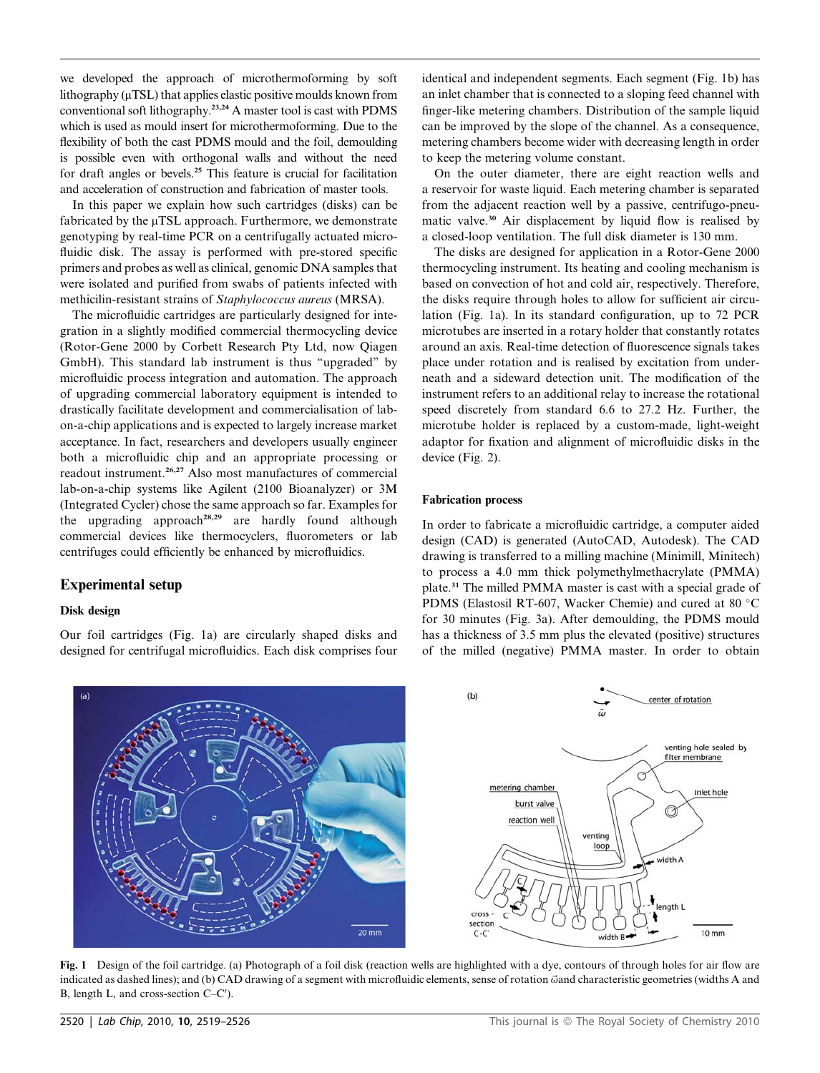we developed the approach of microthermoforming by soft lithography  $(\mu$ TSL) that applies elastic positive moulds known from conventional soft lithography.23,24 A master tool is cast with PDMS which is used as mould insert for microthermoforming. Due to the flexibility of both the cast PDMS mould and the foil, demoulding is possible even with orthogonal walls and without the need for draft angles or bevels.<sup>25</sup> This feature is crucial for facilitation and acceleration of construction and fabrication of master tools.

In this paper we explain how such cartridges (disks) can be fabricated by the  $\mu$ TSL approach. Furthermore, we demonstrate genotyping by real-time PCR on a centrifugally actuated microfluidic disk. The assay is performed with pre-stored specific primers and probes as well as clinical, genomic DNA samples that were isolated and purified from swabs of patients infected with methicilin-resistant strains of Staphylococcus aureus (MRSA).

The microfluidic cartridges are particularly designed for integration in a slightly modified commercial thermocycling device (Rotor-Gene 2000 by Corbett Research Pty Ltd, now Qiagen GmbH). This standard lab instrument is thus ''upgraded'' by microfluidic process integration and automation. The approach of upgrading commercial laboratory equipment is intended to drastically facilitate development and commercialisation of labon-a-chip applications and is expected to largely increase market acceptance. In fact, researchers and developers usually engineer both a microfluidic chip and an appropriate processing or readout instrument.<sup>26,27</sup> Also most manufactures of commercial lab-on-a-chip systems like Agilent (2100 Bioanalyzer) or 3M (Integrated Cycler) chose the same approach so far. Examples for the upgrading approach<sup>28,29</sup> are hardly found although commercial devices like thermocyclers, fluorometers or lab centrifuges could efficiently be enhanced by microfluidics.

### Experimental setup

### Disk design

Our foil cartridges (Fig. 1a) are circularly shaped disks and designed for centrifugal microfluidics. Each disk comprises four

identical and independent segments. Each segment (Fig. 1b) has an inlet chamber that is connected to a sloping feed channel with finger-like metering chambers. Distribution of the sample liquid can be improved by the slope of the channel. As a consequence, metering chambers become wider with decreasing length in order to keep the metering volume constant.

On the outer diameter, there are eight reaction wells and a reservoir for waste liquid. Each metering chamber is separated from the adjacent reaction well by a passive, centrifugo-pneumatic valve.<sup>30</sup> Air displacement by liquid flow is realised by a closed-loop ventilation. The full disk diameter is 130 mm.

The disks are designed for application in a Rotor-Gene 2000 thermocycling instrument. Its heating and cooling mechanism is based on convection of hot and cold air, respectively. Therefore, the disks require through holes to allow for sufficient air circulation (Fig. 1a). In its standard configuration, up to 72 PCR microtubes are inserted in a rotary holder that constantly rotates around an axis. Real-time detection of fluorescence signals takes place under rotation and is realised by excitation from underneath and a sideward detection unit. The modification of the instrument refers to an additional relay to increase the rotational speed discretely from standard 6.6 to 27.2 Hz. Further, the microtube holder is replaced by a custom-made, light-weight adaptor for fixation and alignment of microfluidic disks in the device (Fig. 2).

### Fabrication process

In order to fabricate a microfluidic cartridge, a computer aided design (CAD) is generated (AutoCAD, Autodesk). The CAD drawing is transferred to a milling machine (Minimill, Minitech) to process a 4.0 mm thick polymethylmethacrylate (PMMA) plate.<sup>31</sup> The milled PMMA master is cast with a special grade of PDMS (Elastosil RT-607, Wacker Chemie) and cured at 80 °C for 30 minutes (Fig. 3a). After demoulding, the PDMS mould has a thickness of 3.5 mm plus the elevated (positive) structures of the milled (negative) PMMA master. In order to obtain



Fig. 1 Design of the foil cartridge. (a) Photograph of a foil disk (reaction wells are highlighted with a dye, contours of through holes for air flow are indicated as dashed lines); and (b) CAD drawing of a segment with microfluidic elements, sense of rotation  $\vec{\omega}$  and characteristic geometries (widths A and B, length L, and cross-section  $C-C'$ ).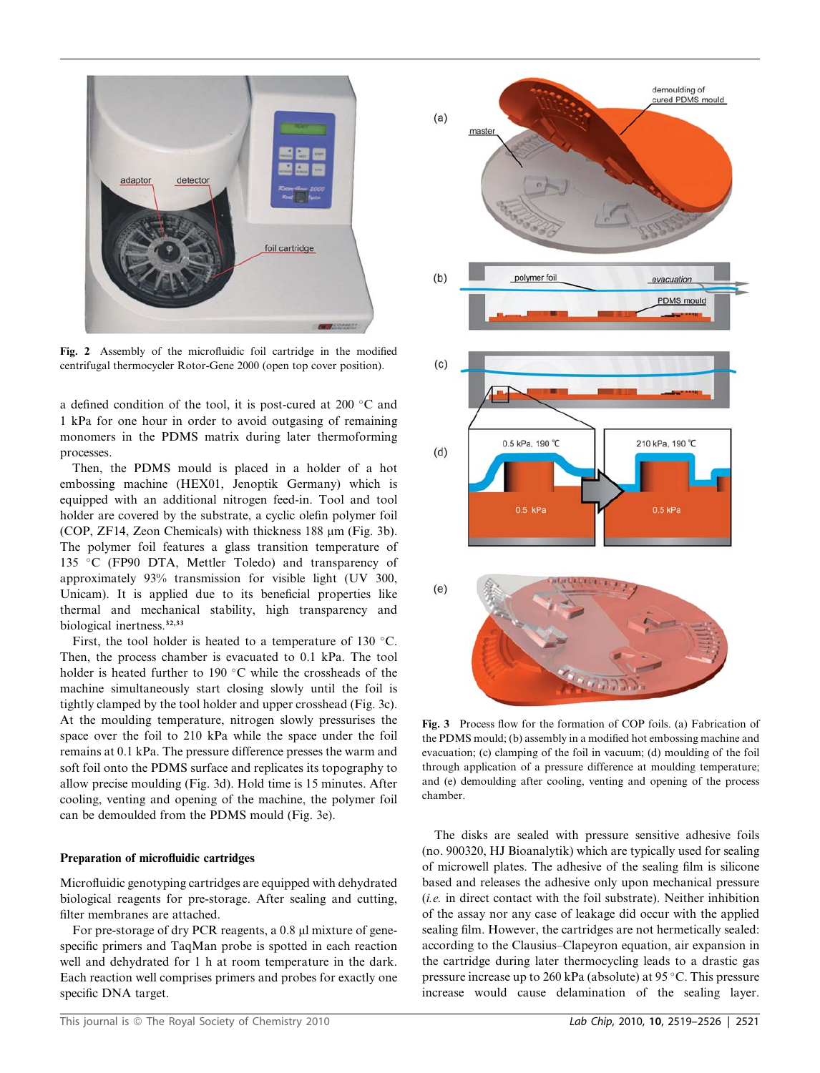

Fig. 2 Assembly of the microfluidic foil cartridge in the modified centrifugal thermocycler Rotor-Gene 2000 (open top cover position).

a defined condition of the tool, it is post-cured at 200  $\,^{\circ}$ C and 1 kPa for one hour in order to avoid outgasing of remaining monomers in the PDMS matrix during later thermoforming processes.

Then, the PDMS mould is placed in a holder of a hot embossing machine (HEX01, Jenoptik Germany) which is equipped with an additional nitrogen feed-in. Tool and tool holder are covered by the substrate, a cyclic olefin polymer foil (COP, ZF14, Zeon Chemicals) with thickness  $188 \mu m$  (Fig. 3b). The polymer foil features a glass transition temperature of 135 °C (FP90 DTA, Mettler Toledo) and transparency of approximately 93% transmission for visible light (UV 300, Unicam). It is applied due to its beneficial properties like thermal and mechanical stability, high transparency and biological inertness.<sup>32,33</sup>

First, the tool holder is heated to a temperature of 130  $^{\circ}$ C. Then, the process chamber is evacuated to 0.1 kPa. The tool holder is heated further to 190 $\degree$ C while the crossheads of the machine simultaneously start closing slowly until the foil is tightly clamped by the tool holder and upper crosshead (Fig. 3c). At the moulding temperature, nitrogen slowly pressurises the space over the foil to 210 kPa while the space under the foil remains at 0.1 kPa. The pressure difference presses the warm and soft foil onto the PDMS surface and replicates its topography to allow precise moulding (Fig. 3d). Hold time is 15 minutes. After cooling, venting and opening of the machine, the polymer foil can be demoulded from the PDMS mould (Fig. 3e).

### Preparation of microfluidic cartridges

Microfluidic genotyping cartridges are equipped with dehydrated biological reagents for pre-storage. After sealing and cutting, filter membranes are attached.

For pre-storage of dry PCR reagents, a 0.8 µl mixture of genespecific primers and TaqMan probe is spotted in each reaction well and dehydrated for 1 h at room temperature in the dark. Each reaction well comprises primers and probes for exactly one specific DNA target.



Fig. 3 Process flow for the formation of COP foils. (a) Fabrication of the PDMS mould; (b) assembly in a modified hot embossing machine and evacuation; (c) clamping of the foil in vacuum; (d) moulding of the foil through application of a pressure difference at moulding temperature; and (e) demoulding after cooling, venting and opening of the process chamber.

The disks are sealed with pressure sensitive adhesive foils (no. 900320, HJ Bioanalytik) which are typically used for sealing of microwell plates. The adhesive of the sealing film is silicone based and releases the adhesive only upon mechanical pressure  $(i.e.$  in direct contact with the foil substrate). Neither inhibition of the assay nor any case of leakage did occur with the applied sealing film. However, the cartridges are not hermetically sealed: according to the Clausius–Clapeyron equation, air expansion in the cartridge during later thermocycling leads to a drastic gas pressure increase up to 260 kPa (absolute) at 95 °C. This pressure increase would cause delamination of the sealing layer.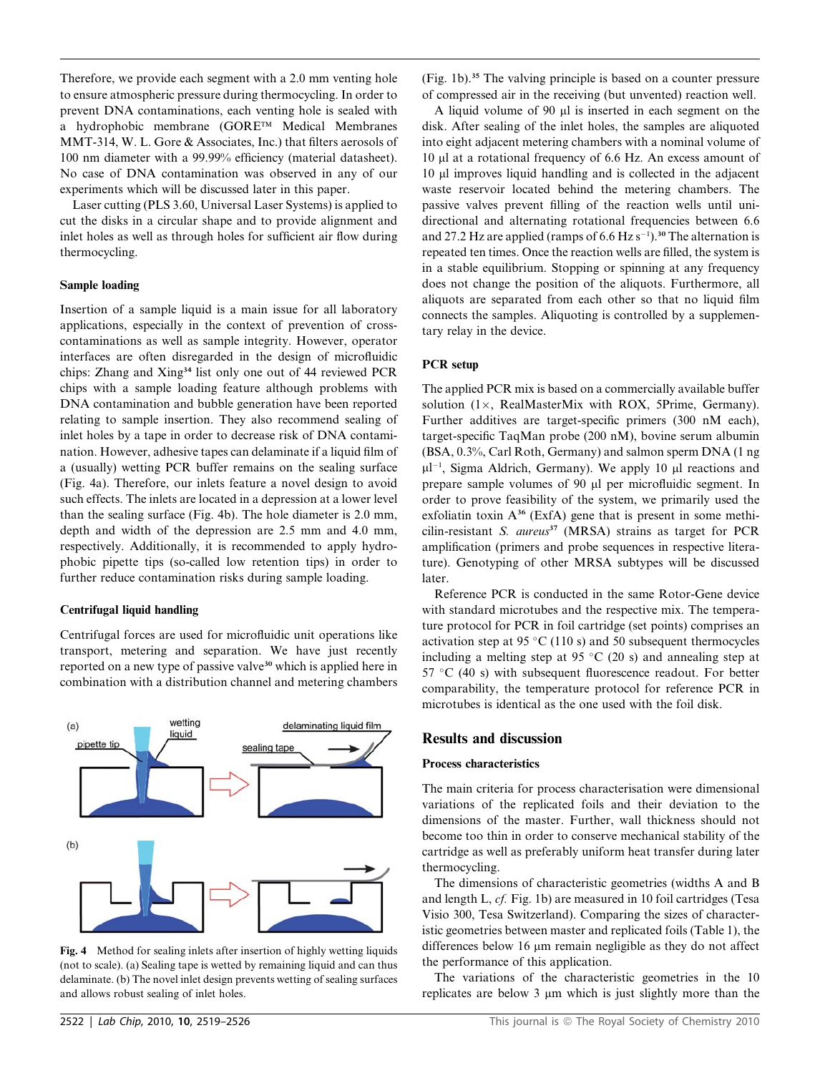Therefore, we provide each segment with a 2.0 mm venting hole to ensure atmospheric pressure during thermocycling. In order to prevent DNA contaminations, each venting hole is sealed with a hydrophobic membrane (GORE™ Medical Membranes MMT-314, W. L. Gore & Associates, Inc.) that filters aerosols of 100 nm diameter with a 99.99% efficiency (material datasheet). No case of DNA contamination was observed in any of our experiments which will be discussed later in this paper.

Laser cutting (PLS 3.60, Universal Laser Systems) is applied to cut the disks in a circular shape and to provide alignment and inlet holes as well as through holes for sufficient air flow during thermocycling.

### Sample loading

Insertion of a sample liquid is a main issue for all laboratory applications, especially in the context of prevention of crosscontaminations as well as sample integrity. However, operator interfaces are often disregarded in the design of microfluidic chips: Zhang and Xing<sup>34</sup> list only one out of 44 reviewed PCR chips with a sample loading feature although problems with DNA contamination and bubble generation have been reported relating to sample insertion. They also recommend sealing of inlet holes by a tape in order to decrease risk of DNA contamination. However, adhesive tapes can delaminate if a liquid film of a (usually) wetting PCR buffer remains on the sealing surface (Fig. 4a). Therefore, our inlets feature a novel design to avoid such effects. The inlets are located in a depression at a lower level than the sealing surface (Fig. 4b). The hole diameter is 2.0 mm, depth and width of the depression are 2.5 mm and 4.0 mm, respectively. Additionally, it is recommended to apply hydrophobic pipette tips (so-called low retention tips) in order to further reduce contamination risks during sample loading.

### Centrifugal liquid handling

Centrifugal forces are used for microfluidic unit operations like transport, metering and separation. We have just recently reported on a new type of passive valve<sup>30</sup> which is applied here in combination with a distribution channel and metering chambers



Fig. 4 Method for sealing inlets after insertion of highly wetting liquids (not to scale). (a) Sealing tape is wetted by remaining liquid and can thus delaminate. (b) The novel inlet design prevents wetting of sealing surfaces and allows robust sealing of inlet holes.

(Fig. 1b).<sup>35</sup> The valving principle is based on a counter pressure of compressed air in the receiving (but unvented) reaction well.

A liquid volume of 90  $\mu$ l is inserted in each segment on the disk. After sealing of the inlet holes, the samples are aliquoted into eight adjacent metering chambers with a nominal volume of 10 ml at a rotational frequency of 6.6 Hz. An excess amount of 10 ml improves liquid handling and is collected in the adjacent waste reservoir located behind the metering chambers. The passive valves prevent filling of the reaction wells until unidirectional and alternating rotational frequencies between 6.6 and 27.2 Hz are applied (ramps of  $6.6$  Hz s<sup>-1</sup>).<sup>30</sup> The alternation is repeated ten times. Once the reaction wells are filled, the system is in a stable equilibrium. Stopping or spinning at any frequency does not change the position of the aliquots. Furthermore, all aliquots are separated from each other so that no liquid film connects the samples. Aliquoting is controlled by a supplementary relay in the device.

### PCR setup

The applied PCR mix is based on a commercially available buffer solution  $(1 \times$ , RealMasterMix with ROX, 5Prime, Germany). Further additives are target-specific primers (300 nM each), target-specific TaqMan probe (200 nM), bovine serum albumin (BSA, 0.3%, Carl Roth, Germany) and salmon sperm DNA (1 ng  $\mu$ l<sup>-1</sup>, Sigma Aldrich, Germany). We apply 10  $\mu$ l reactions and prepare sample volumes of 90 µl per microfluidic segment. In order to prove feasibility of the system, we primarily used the exfoliatin toxin  $A^{36}$  (ExfA) gene that is present in some methicilin-resistant S.  $aureus<sup>37</sup>$  (MRSA) strains as target for PCR amplification (primers and probe sequences in respective literature). Genotyping of other MRSA subtypes will be discussed later.

Reference PCR is conducted in the same Rotor-Gene device with standard microtubes and the respective mix. The temperature protocol for PCR in foil cartridge (set points) comprises an activation step at 95 °C (110 s) and 50 subsequent thermocycles including a melting step at 95  $\degree$ C (20 s) and annealing step at 57 °C (40 s) with subsequent fluorescence readout. For better comparability, the temperature protocol for reference PCR in microtubes is identical as the one used with the foil disk.

### Results and discussion

### Process characteristics

The main criteria for process characterisation were dimensional variations of the replicated foils and their deviation to the dimensions of the master. Further, wall thickness should not become too thin in order to conserve mechanical stability of the cartridge as well as preferably uniform heat transfer during later thermocycling.

The dimensions of characteristic geometries (widths A and B and length L, cf. Fig. 1b) are measured in 10 foil cartridges (Tesa Visio 300, Tesa Switzerland). Comparing the sizes of characteristic geometries between master and replicated foils (Table 1), the differences below 16  $\mu$ m remain negligible as they do not affect the performance of this application.

The variations of the characteristic geometries in the 10 replicates are below 3  $\mu$ m which is just slightly more than the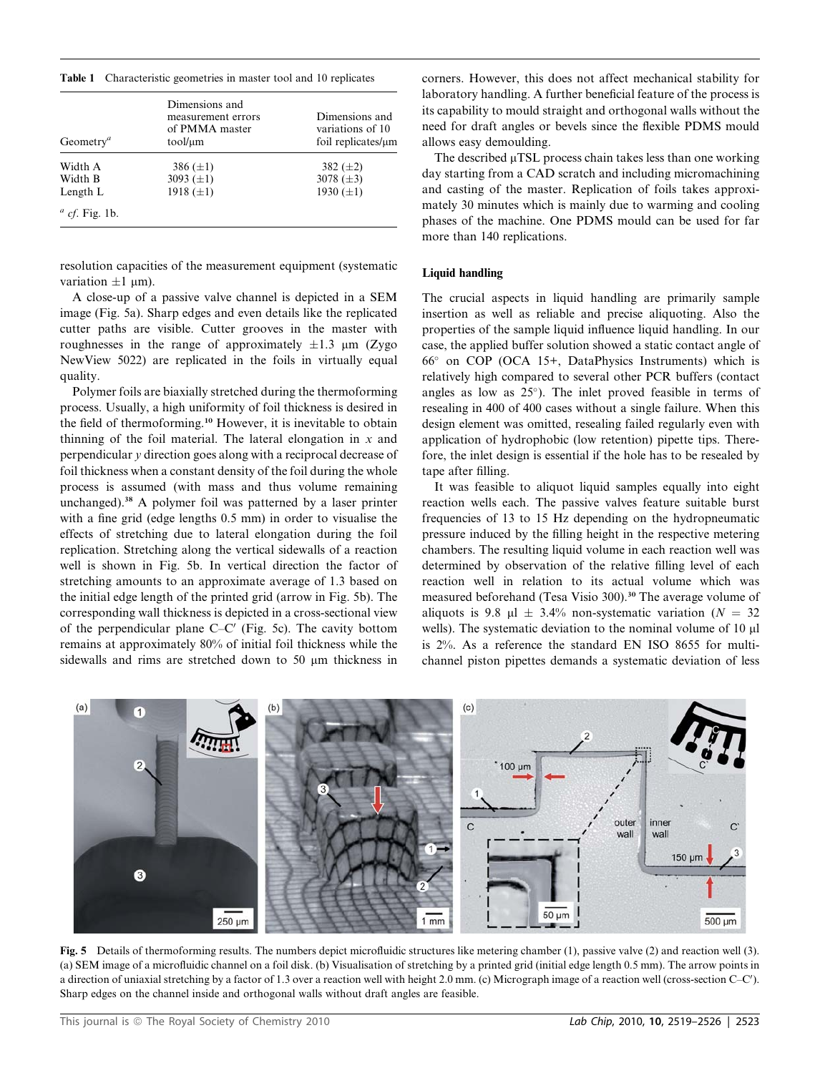Table 1 Characteristic geometries in master tool and 10 replicates

| Geometry <sup><i>a</i></sup> | Dimensions and<br>measurement errors<br>of PMMA master<br>tool/µm | Dimensions and<br>variations of 10<br>foil replicates/µm |
|------------------------------|-------------------------------------------------------------------|----------------------------------------------------------|
| Width A                      | 386 $(\pm 1)$                                                     | 382 $(\pm 2)$                                            |
| Width B                      | 3093 $(\pm 1)$                                                    | 3078 $(\pm 3)$                                           |
| Length L                     | 1918 $(\pm 1)$                                                    | 1930 $(\pm 1)$                                           |
| $\alpha$ cf. Fig. 1b.        |                                                                   |                                                          |

resolution capacities of the measurement equipment (systematic variation  $\pm 1$  µm).

A close-up of a passive valve channel is depicted in a SEM image (Fig. 5a). Sharp edges and even details like the replicated cutter paths are visible. Cutter grooves in the master with roughnesses in the range of approximately  $\pm 1.3$  µm (Zygo NewView 5022) are replicated in the foils in virtually equal quality.

Polymer foils are biaxially stretched during the thermoforming process. Usually, a high uniformity of foil thickness is desired in the field of thermoforming.<sup>10</sup> However, it is inevitable to obtain thinning of the foil material. The lateral elongation in  $x$  and perpendicular y direction goes along with a reciprocal decrease of foil thickness when a constant density of the foil during the whole process is assumed (with mass and thus volume remaining unchanged).<sup>38</sup> A polymer foil was patterned by a laser printer with a fine grid (edge lengths 0.5 mm) in order to visualise the effects of stretching due to lateral elongation during the foil replication. Stretching along the vertical sidewalls of a reaction well is shown in Fig. 5b. In vertical direction the factor of stretching amounts to an approximate average of 1.3 based on the initial edge length of the printed grid (arrow in Fig. 5b). The corresponding wall thickness is depicted in a cross-sectional view of the perpendicular plane  $C-C'$  (Fig. 5c). The cavity bottom remains at approximately 80% of initial foil thickness while the sidewalls and rims are stretched down to 50  $\mu$ m thickness in

corners. However, this does not affect mechanical stability for laboratory handling. A further beneficial feature of the process is its capability to mould straight and orthogonal walls without the need for draft angles or bevels since the flexible PDMS mould allows easy demoulding.

The described  $\mu$ TSL process chain takes less than one working day starting from a CAD scratch and including micromachining and casting of the master. Replication of foils takes approximately 30 minutes which is mainly due to warming and cooling phases of the machine. One PDMS mould can be used for far more than 140 replications.

### Liquid handling

The crucial aspects in liquid handling are primarily sample insertion as well as reliable and precise aliquoting. Also the properties of the sample liquid influence liquid handling. In our case, the applied buffer solution showed a static contact angle of 66° on COP (OCA 15+, DataPhysics Instruments) which is relatively high compared to several other PCR buffers (contact angles as low as  $25^{\circ}$ ). The inlet proved feasible in terms of resealing in 400 of 400 cases without a single failure. When this design element was omitted, resealing failed regularly even with application of hydrophobic (low retention) pipette tips. Therefore, the inlet design is essential if the hole has to be resealed by tape after filling.

It was feasible to aliquot liquid samples equally into eight reaction wells each. The passive valves feature suitable burst frequencies of 13 to 15 Hz depending on the hydropneumatic pressure induced by the filling height in the respective metering chambers. The resulting liquid volume in each reaction well was determined by observation of the relative filling level of each reaction well in relation to its actual volume which was measured beforehand (Tesa Visio 300).<sup>30</sup> The average volume of aliquots is 9.8  $\mu$ 1  $\pm$  3.4% non-systematic variation (N = 32) wells). The systematic deviation to the nominal volume of 10 µl is 2%. As a reference the standard EN ISO 8655 for multichannel piston pipettes demands a systematic deviation of less



Fig. 5 Details of thermoforming results. The numbers depict microfluidic structures like metering chamber (1), passive valve (2) and reaction well (3). (a) SEM image of a microfluidic channel on a foil disk. (b) Visualisation of stretching by a printed grid (initial edge length 0.5 mm). The arrow points in a direction of uniaxial stretching by a factor of 1.3 over a reaction well with height 2.0 mm. (c) Micrograph image of a reaction well (cross-section C–C'). Sharp edges on the channel inside and orthogonal walls without draft angles are feasible.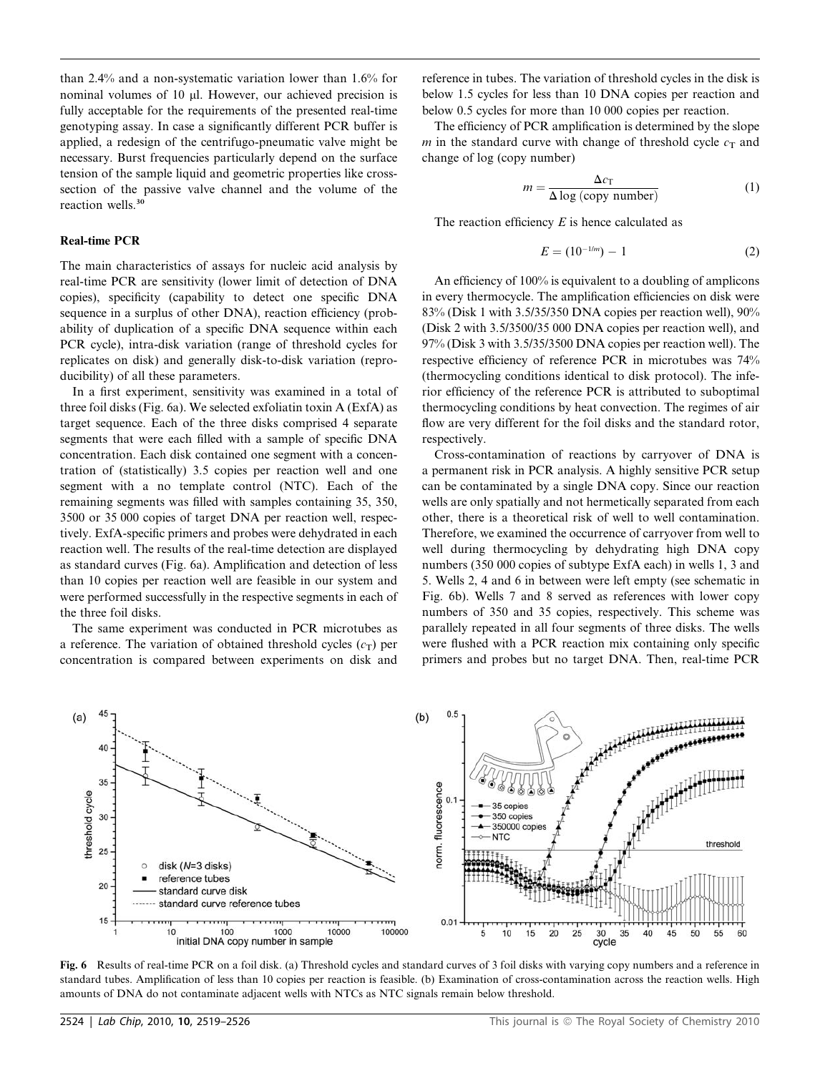than 2.4% and a non-systematic variation lower than 1.6% for nominal volumes of 10 µl. However, our achieved precision is fully acceptable for the requirements of the presented real-time genotyping assay. In case a significantly different PCR buffer is applied, a redesign of the centrifugo-pneumatic valve might be necessary. Burst frequencies particularly depend on the surface tension of the sample liquid and geometric properties like crosssection of the passive valve channel and the volume of the reaction wells.<sup>30</sup>

### Real-time PCR

The main characteristics of assays for nucleic acid analysis by real-time PCR are sensitivity (lower limit of detection of DNA copies), specificity (capability to detect one specific DNA sequence in a surplus of other DNA), reaction efficiency (probability of duplication of a specific DNA sequence within each PCR cycle), intra-disk variation (range of threshold cycles for replicates on disk) and generally disk-to-disk variation (reproducibility) of all these parameters.

In a first experiment, sensitivity was examined in a total of three foil disks (Fig. 6a). We selected exfoliatin toxin A (ExfA) as target sequence. Each of the three disks comprised 4 separate segments that were each filled with a sample of specific DNA concentration. Each disk contained one segment with a concentration of (statistically) 3.5 copies per reaction well and one segment with a no template control (NTC). Each of the remaining segments was filled with samples containing 35, 350, 3500 or 35 000 copies of target DNA per reaction well, respectively. ExfA-specific primers and probes were dehydrated in each reaction well. The results of the real-time detection are displayed as standard curves (Fig. 6a). Amplification and detection of less than 10 copies per reaction well are feasible in our system and were performed successfully in the respective segments in each of the three foil disks.

The same experiment was conducted in PCR microtubes as a reference. The variation of obtained threshold cycles  $(c_T)$  per concentration is compared between experiments on disk and reference in tubes. The variation of threshold cycles in the disk is below 1.5 cycles for less than 10 DNA copies per reaction and below 0.5 cycles for more than 10 000 copies per reaction.

The efficiency of PCR amplification is determined by the slope m in the standard curve with change of threshold cycle  $c_T$  and change of log (copy number)

$$
m = \frac{\Delta c_{\text{T}}}{\Delta \log \text{(copy number)}}\tag{1}
$$

The reaction efficiency  $E$  is hence calculated as

$$
E = (10^{-1/m}) - 1 \tag{2}
$$

An efficiency of 100% is equivalent to a doubling of amplicons in every thermocycle. The amplification efficiencies on disk were 83% (Disk 1 with 3.5/35/350 DNA copies per reaction well), 90% (Disk 2 with 3.5/3500/35 000 DNA copies per reaction well), and 97% (Disk 3 with 3.5/35/3500 DNA copies per reaction well). The respective efficiency of reference PCR in microtubes was 74% (thermocycling conditions identical to disk protocol). The inferior efficiency of the reference PCR is attributed to suboptimal thermocycling conditions by heat convection. The regimes of air flow are very different for the foil disks and the standard rotor, respectively.

Cross-contamination of reactions by carryover of DNA is a permanent risk in PCR analysis. A highly sensitive PCR setup can be contaminated by a single DNA copy. Since our reaction wells are only spatially and not hermetically separated from each other, there is a theoretical risk of well to well contamination. Therefore, we examined the occurrence of carryover from well to well during thermocycling by dehydrating high DNA copy numbers (350 000 copies of subtype ExfA each) in wells 1, 3 and 5. Wells 2, 4 and 6 in between were left empty (see schematic in Fig. 6b). Wells 7 and 8 served as references with lower copy numbers of 350 and 35 copies, respectively. This scheme was parallely repeated in all four segments of three disks. The wells were flushed with a PCR reaction mix containing only specific primers and probes but no target DNA. Then, real-time PCR



Fig. 6 Results of real-time PCR on a foil disk. (a) Threshold cycles and standard curves of 3 foil disks with varying copy numbers and a reference in standard tubes. Amplification of less than 10 copies per reaction is feasible. (b) Examination of cross-contamination across the reaction wells. High amounts of DNA do not contaminate adjacent wells with NTCs as NTC signals remain below threshold.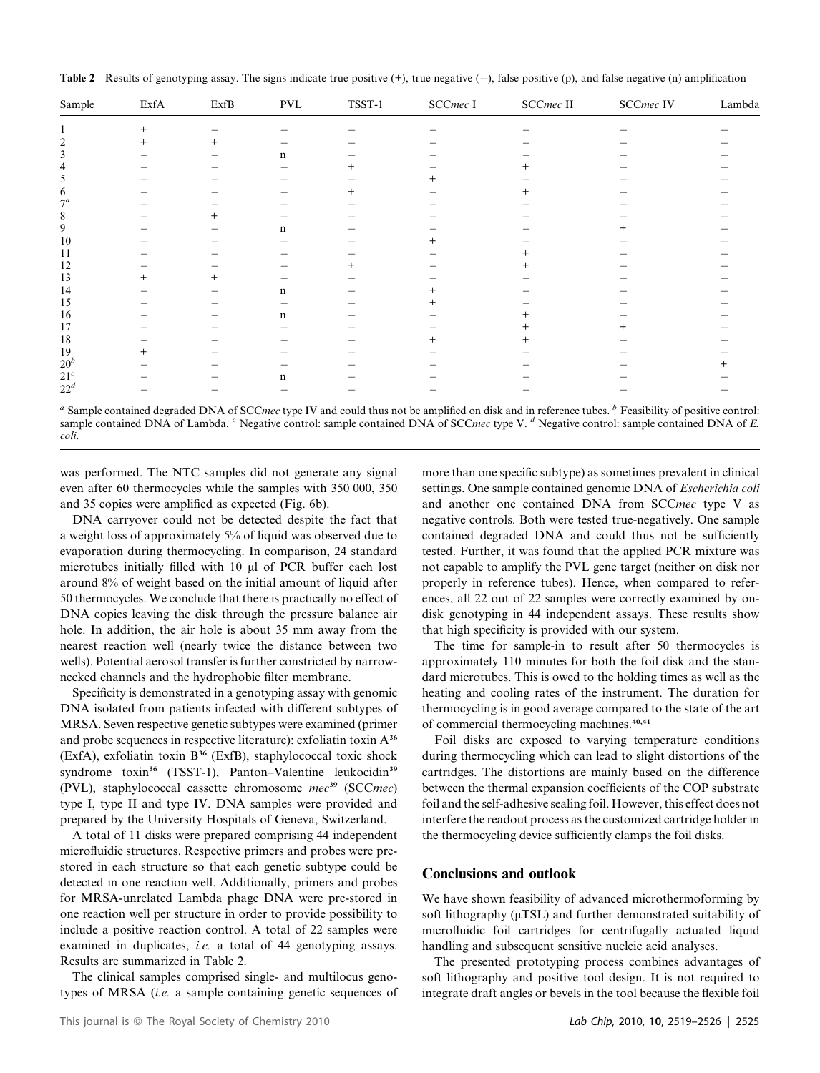| Sample          | $\operatorname{Exf}\nolimits$ | $\operatorname{ExfB}$ | $\mathsf{PVL}$ | $T\!S\!S\!T\!-\!1$ | $\ensuremath{\mathsf{SCC}}$ I | $\operatorname{SCC}$ II | SCCmec IV | Lambda |
|-----------------|-------------------------------|-----------------------|----------------|--------------------|-------------------------------|-------------------------|-----------|--------|
|                 | $^{+}$                        |                       |                |                    |                               |                         |           |        |
| ∍               |                               | $\ddot{}$             | —              |                    |                               |                         |           |        |
|                 |                               |                       | n              |                    |                               |                         |           |        |
|                 |                               |                       |                | $^+$               |                               | $^+$                    |           |        |
|                 |                               |                       |                |                    |                               |                         |           |        |
| 6               |                               |                       |                | $^{+}$             |                               | $\pm$                   |           |        |
| 7 <sup>a</sup>  |                               |                       |                |                    |                               |                         |           |        |
| 8               |                               | $^+$                  |                |                    |                               |                         |           |        |
| 9               |                               |                       | n              |                    |                               |                         |           |        |
| 10              |                               |                       |                |                    | $\pm$                         |                         |           |        |
| 11              |                               |                       |                |                    |                               |                         |           |        |
| 12              |                               |                       |                | $^{+}$             |                               | $^+$                    |           |        |
| 13              | $^+$                          | $^+$                  |                |                    |                               |                         |           |        |
| 14              |                               |                       | $\mathbf n$    |                    |                               |                         |           |        |
| 15              |                               |                       |                |                    |                               |                         |           |        |
| 16              |                               |                       | $\mathbf n$    |                    |                               | $^+$                    |           |        |
| 17              |                               |                       |                |                    |                               |                         |           |        |
| 18              |                               |                       |                |                    | $\overline{+}$                | $^+$                    |           |        |
| 19              | ┿                             |                       |                |                    |                               |                         |           |        |
| $20^b$          |                               |                       |                |                    |                               |                         |           |        |
| 21 <sup>c</sup> |                               |                       | n              |                    |                               |                         |           |        |
| $22^d$          |                               |                       |                |                    |                               |                         |           |        |

<sup>a</sup> Sample contained degraded DNA of SCC*mec* type IV and could thus not be amplified on disk and in reference tubes.  $\frac{b}{c}$  Feasibility of positive control: sample contained DNA of Lambda. <sup>c</sup> Negative control: sample contained DNA of SCCmec type V. <sup>d</sup> Negative control: sample contained DNA of E. coli.

was performed. The NTC samples did not generate any signal even after 60 thermocycles while the samples with 350 000, 350 and 35 copies were amplified as expected (Fig. 6b).

DNA carryover could not be detected despite the fact that a weight loss of approximately 5% of liquid was observed due to evaporation during thermocycling. In comparison, 24 standard microtubes initially filled with 10 µl of PCR buffer each lost around 8% of weight based on the initial amount of liquid after 50 thermocycles. We conclude that there is practically no effect of DNA copies leaving the disk through the pressure balance air hole. In addition, the air hole is about 35 mm away from the nearest reaction well (nearly twice the distance between two wells). Potential aerosol transfer is further constricted by narrownecked channels and the hydrophobic filter membrane.

Specificity is demonstrated in a genotyping assay with genomic DNA isolated from patients infected with different subtypes of MRSA. Seven respective genetic subtypes were examined (primer and probe sequences in respective literature): exfoliatin toxin A<sup>36</sup> (ExfA), exfoliatin toxin B<sup>36</sup> (ExfB), staphylococcal toxic shock syndrome toxin<sup>36</sup> (TSST-1), Panton–Valentine leukocidin<sup>39</sup> (PVL), staphylococcal cassette chromosome  $mec^{39}$  (SCCmec) type I, type II and type IV. DNA samples were provided and prepared by the University Hospitals of Geneva, Switzerland.

A total of 11 disks were prepared comprising 44 independent microfluidic structures. Respective primers and probes were prestored in each structure so that each genetic subtype could be detected in one reaction well. Additionally, primers and probes for MRSA-unrelated Lambda phage DNA were pre-stored in one reaction well per structure in order to provide possibility to include a positive reaction control. A total of 22 samples were examined in duplicates, *i.e.* a total of 44 genotyping assays. Results are summarized in Table 2.

The clinical samples comprised single- and multilocus genotypes of MRSA (*i.e.* a sample containing genetic sequences of more than one specific subtype) as sometimes prevalent in clinical settings. One sample contained genomic DNA of Escherichia coli and another one contained DNA from SCCmec type V as negative controls. Both were tested true-negatively. One sample contained degraded DNA and could thus not be sufficiently tested. Further, it was found that the applied PCR mixture was not capable to amplify the PVL gene target (neither on disk nor properly in reference tubes). Hence, when compared to references, all 22 out of 22 samples were correctly examined by ondisk genotyping in 44 independent assays. These results show that high specificity is provided with our system.

The time for sample-in to result after 50 thermocycles is approximately 110 minutes for both the foil disk and the standard microtubes. This is owed to the holding times as well as the heating and cooling rates of the instrument. The duration for thermocycling is in good average compared to the state of the art of commercial thermocycling machines.<sup>40,41</sup>

Foil disks are exposed to varying temperature conditions during thermocycling which can lead to slight distortions of the cartridges. The distortions are mainly based on the difference between the thermal expansion coefficients of the COP substrate foil and the self-adhesive sealing foil. However, this effect does not interfere the readout process as the customized cartridge holder in the thermocycling device sufficiently clamps the foil disks.

### Conclusions and outlook

We have shown feasibility of advanced microthermoforming by soft lithography  $(\mu$ TSL) and further demonstrated suitability of microfluidic foil cartridges for centrifugally actuated liquid handling and subsequent sensitive nucleic acid analyses.

The presented prototyping process combines advantages of soft lithography and positive tool design. It is not required to integrate draft angles or bevels in the tool because the flexible foil